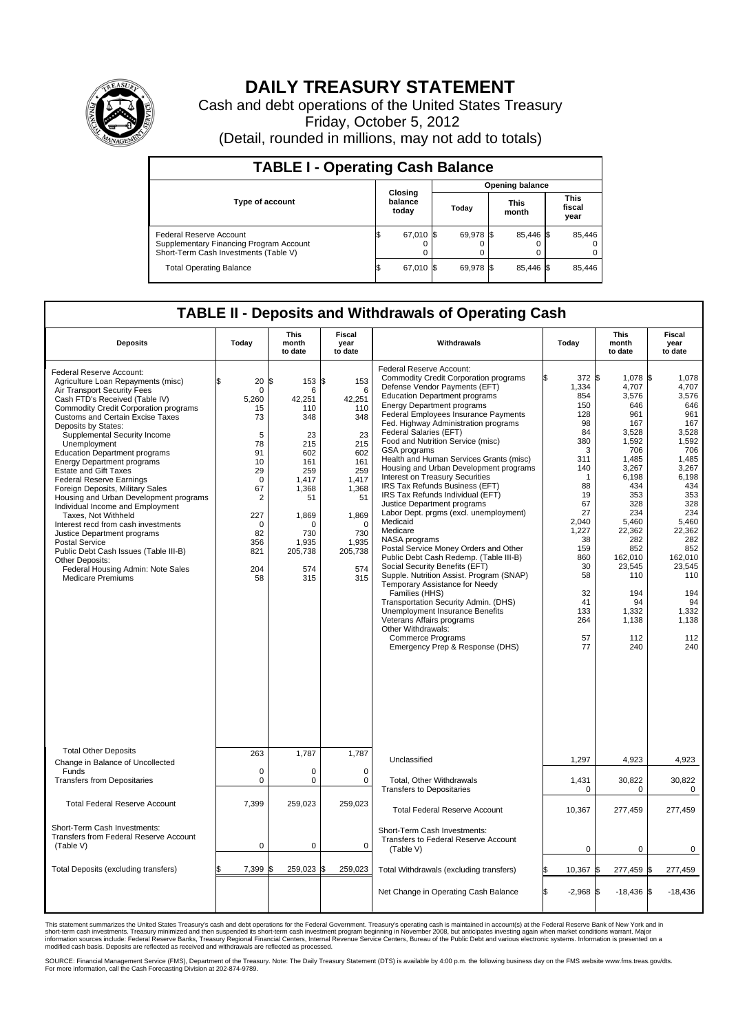

## **DAILY TREASURY STATEMENT**

Cash and debt operations of the United States Treasury Friday, October 5, 2012 (Detail, rounded in millions, may not add to totals)

| <b>TABLE I - Operating Cash Balance</b>                                                                     |                             |                        |                      |                               |  |  |  |  |
|-------------------------------------------------------------------------------------------------------------|-----------------------------|------------------------|----------------------|-------------------------------|--|--|--|--|
|                                                                                                             |                             | <b>Opening balance</b> |                      |                               |  |  |  |  |
| <b>Type of account</b>                                                                                      | Closing<br>balance<br>today | Today                  | <b>This</b><br>month | <b>This</b><br>fiscal<br>year |  |  |  |  |
| Federal Reserve Account<br>Supplementary Financing Program Account<br>Short-Term Cash Investments (Table V) | 67,010 \$<br>0              | 69,978 \$              | 85,446 \$            | 85,446                        |  |  |  |  |
| <b>Total Operating Balance</b>                                                                              | 67,010 \$                   | 69.978 \$              | 85.446 \$            | 85,446                        |  |  |  |  |

## **TABLE II - Deposits and Withdrawals of Operating Cash**

| <b>Deposits</b>                                                                                                                                                                                                                                                                                                                                                                                                                                                                                                                                                                                                                                                                                                                                                                                                 | Today                                                                                                                                                          | <b>This</b><br>month<br>to date                                                                                                                                 | Fiscal<br>year<br>to date                                                                                                                                      | Withdrawals                                                                                                                                                                                                                                                                                                                                                                                                                                                                                                                                                                                                                                                                                                                                                                                                                                                                                                                                                                                                                                                                                    | Today                                                                                                                                                                                           | <b>This</b><br>month<br>to date                                                                                                                                                                                                           | <b>Fiscal</b><br>year<br>to date                                                                                                                                                                                                       |
|-----------------------------------------------------------------------------------------------------------------------------------------------------------------------------------------------------------------------------------------------------------------------------------------------------------------------------------------------------------------------------------------------------------------------------------------------------------------------------------------------------------------------------------------------------------------------------------------------------------------------------------------------------------------------------------------------------------------------------------------------------------------------------------------------------------------|----------------------------------------------------------------------------------------------------------------------------------------------------------------|-----------------------------------------------------------------------------------------------------------------------------------------------------------------|----------------------------------------------------------------------------------------------------------------------------------------------------------------|------------------------------------------------------------------------------------------------------------------------------------------------------------------------------------------------------------------------------------------------------------------------------------------------------------------------------------------------------------------------------------------------------------------------------------------------------------------------------------------------------------------------------------------------------------------------------------------------------------------------------------------------------------------------------------------------------------------------------------------------------------------------------------------------------------------------------------------------------------------------------------------------------------------------------------------------------------------------------------------------------------------------------------------------------------------------------------------------|-------------------------------------------------------------------------------------------------------------------------------------------------------------------------------------------------|-------------------------------------------------------------------------------------------------------------------------------------------------------------------------------------------------------------------------------------------|----------------------------------------------------------------------------------------------------------------------------------------------------------------------------------------------------------------------------------------|
| Federal Reserve Account:<br>Agriculture Loan Repayments (misc)<br>Air Transport Security Fees<br>Cash FTD's Received (Table IV)<br>Commodity Credit Corporation programs<br><b>Customs and Certain Excise Taxes</b><br>Deposits by States:<br>Supplemental Security Income<br>Unemployment<br><b>Education Department programs</b><br><b>Energy Department programs</b><br><b>Estate and Gift Taxes</b><br><b>Federal Reserve Earnings</b><br>Foreign Deposits, Military Sales<br>Housing and Urban Development programs<br>Individual Income and Employment<br>Taxes, Not Withheld<br>Interest recd from cash investments<br>Justice Department programs<br><b>Postal Service</b><br>Public Debt Cash Issues (Table III-B)<br>Other Deposits:<br>Federal Housing Admin: Note Sales<br><b>Medicare Premiums</b> | 20<br>$\mathbf 0$<br>5,260<br>15<br>73<br>5<br>78<br>91<br>10<br>29<br>$\mathbf 0$<br>67<br>$\overline{2}$<br>227<br>$\Omega$<br>82<br>356<br>821<br>204<br>58 | 153<br>l\$<br>6<br>42,251<br>110<br>348<br>23<br>215<br>602<br>161<br>259<br>1,417<br>1.368<br>51<br>1,869<br>$\Omega$<br>730<br>1,935<br>205,738<br>574<br>315 | 153<br>\$<br>6<br>42,251<br>110<br>348<br>23<br>215<br>602<br>161<br>259<br>1,417<br>1,368<br>51<br>1,869<br>$\Omega$<br>730<br>1,935<br>205,738<br>574<br>315 | <b>Federal Reserve Account:</b><br><b>Commodity Credit Corporation programs</b><br>Defense Vendor Payments (EFT)<br><b>Education Department programs</b><br><b>Energy Department programs</b><br>Federal Employees Insurance Payments<br>Fed. Highway Administration programs<br>Federal Salaries (EFT)<br>Food and Nutrition Service (misc)<br>GSA programs<br>Health and Human Services Grants (misc)<br>Housing and Urban Development programs<br>Interest on Treasury Securities<br>IRS Tax Refunds Business (EFT)<br>IRS Tax Refunds Individual (EFT)<br>Justice Department programs<br>Labor Dept. prgms (excl. unemployment)<br>Medicaid<br>Medicare<br>NASA programs<br>Postal Service Money Orders and Other<br>Public Debt Cash Redemp. (Table III-B)<br>Social Security Benefits (EFT)<br>Supple. Nutrition Assist. Program (SNAP)<br>Temporary Assistance for Needy<br>Families (HHS)<br>Transportation Security Admin. (DHS)<br>Unemployment Insurance Benefits<br>Veterans Affairs programs<br>Other Withdrawals:<br><b>Commerce Programs</b><br>Emergency Prep & Response (DHS) | 372 \$<br>1,334<br>854<br>150<br>128<br>98<br>84<br>380<br>3<br>311<br>140<br>1<br>88<br>19<br>67<br>27<br>2,040<br>1,227<br>38<br>159<br>860<br>30<br>58<br>32<br>41<br>133<br>264<br>57<br>77 | 1,078 \$<br>4,707<br>3,576<br>646<br>961<br>167<br>3,528<br>1,592<br>706<br>1,485<br>3,267<br>6.198<br>434<br>353<br>328<br>234<br>5,460<br>22,362<br>282<br>852<br>162,010<br>23,545<br>110<br>194<br>94<br>1,332<br>1,138<br>112<br>240 | 1,078<br>4,707<br>3,576<br>646<br>961<br>167<br>3,528<br>1.592<br>706<br>1,485<br>3,267<br>6.198<br>434<br>353<br>328<br>234<br>5,460<br>22,362<br>282<br>852<br>162,010<br>23,545<br>110<br>194<br>94<br>1,332<br>1,138<br>112<br>240 |
| <b>Total Other Deposits</b><br>Change in Balance of Uncollected                                                                                                                                                                                                                                                                                                                                                                                                                                                                                                                                                                                                                                                                                                                                                 | 263                                                                                                                                                            | 1,787                                                                                                                                                           | 1,787                                                                                                                                                          | Unclassified                                                                                                                                                                                                                                                                                                                                                                                                                                                                                                                                                                                                                                                                                                                                                                                                                                                                                                                                                                                                                                                                                   | 1,297                                                                                                                                                                                           | 4,923                                                                                                                                                                                                                                     | 4,923                                                                                                                                                                                                                                  |
| Funds<br><b>Transfers from Depositaries</b>                                                                                                                                                                                                                                                                                                                                                                                                                                                                                                                                                                                                                                                                                                                                                                     | $\mathbf 0$<br>0                                                                                                                                               | $\mathbf 0$<br>0                                                                                                                                                | $\mathbf 0$<br>$\mathbf 0$                                                                                                                                     | Total, Other Withdrawals<br><b>Transfers to Depositaries</b>                                                                                                                                                                                                                                                                                                                                                                                                                                                                                                                                                                                                                                                                                                                                                                                                                                                                                                                                                                                                                                   | 1,431<br>0                                                                                                                                                                                      | 30,822<br>$\mathbf 0$                                                                                                                                                                                                                     | 30,822<br>0                                                                                                                                                                                                                            |
| <b>Total Federal Reserve Account</b>                                                                                                                                                                                                                                                                                                                                                                                                                                                                                                                                                                                                                                                                                                                                                                            | 7,399                                                                                                                                                          | 259,023                                                                                                                                                         | 259,023                                                                                                                                                        | <b>Total Federal Reserve Account</b>                                                                                                                                                                                                                                                                                                                                                                                                                                                                                                                                                                                                                                                                                                                                                                                                                                                                                                                                                                                                                                                           | 10,367                                                                                                                                                                                          | 277,459                                                                                                                                                                                                                                   | 277,459                                                                                                                                                                                                                                |
| Short-Term Cash Investments:<br>Transfers from Federal Reserve Account<br>(Table V)                                                                                                                                                                                                                                                                                                                                                                                                                                                                                                                                                                                                                                                                                                                             | $\mathbf 0$                                                                                                                                                    | $\mathbf 0$                                                                                                                                                     | 0                                                                                                                                                              | Short-Term Cash Investments:<br>Transfers to Federal Reserve Account<br>(Table V)                                                                                                                                                                                                                                                                                                                                                                                                                                                                                                                                                                                                                                                                                                                                                                                                                                                                                                                                                                                                              | $\mathbf 0$                                                                                                                                                                                     | 0                                                                                                                                                                                                                                         | $\mathbf 0$                                                                                                                                                                                                                            |
| Total Deposits (excluding transfers)                                                                                                                                                                                                                                                                                                                                                                                                                                                                                                                                                                                                                                                                                                                                                                            | 7,399                                                                                                                                                          | 259,023<br>ß                                                                                                                                                    | 259,023                                                                                                                                                        | Total Withdrawals (excluding transfers)                                                                                                                                                                                                                                                                                                                                                                                                                                                                                                                                                                                                                                                                                                                                                                                                                                                                                                                                                                                                                                                        | 10,367 \$                                                                                                                                                                                       | 277,459 \$                                                                                                                                                                                                                                | 277,459                                                                                                                                                                                                                                |
|                                                                                                                                                                                                                                                                                                                                                                                                                                                                                                                                                                                                                                                                                                                                                                                                                 |                                                                                                                                                                |                                                                                                                                                                 |                                                                                                                                                                | Net Change in Operating Cash Balance                                                                                                                                                                                                                                                                                                                                                                                                                                                                                                                                                                                                                                                                                                                                                                                                                                                                                                                                                                                                                                                           | l\$<br>$-2.968$ \$                                                                                                                                                                              | $-18.436$ \\$                                                                                                                                                                                                                             | $-18,436$                                                                                                                                                                                                                              |

This statement summarizes the United States Treasury's cash and debt operations for the Federal Government. Treasury's operating cash is maintained in account(s) at the Federal Reserve Bank of New York and in<br>short-term ca

SOURCE: Financial Management Service (FMS), Department of the Treasury. Note: The Daily Treasury Statement (DTS) is available by 4:00 p.m. the following business day on the FMS website www.fms.treas.gov/dts.<br>For more infor